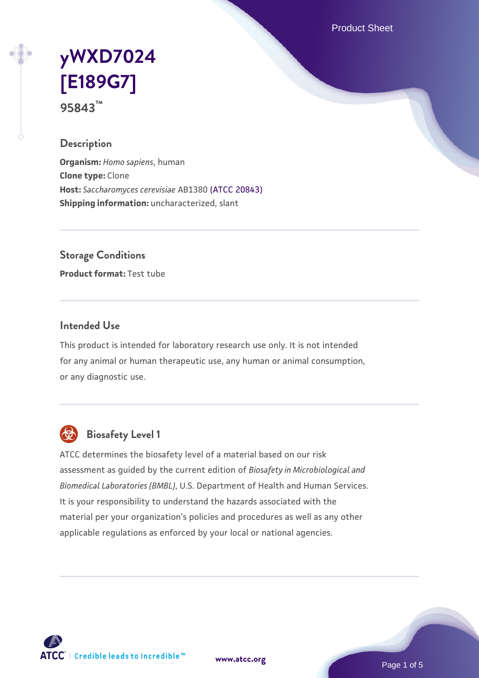Product Sheet

# **[yWXD7024](https://www.atcc.org/products/95843) [\[E189G7\]](https://www.atcc.org/products/95843) 95843™**

**Description**

**Organism:** *Homo sapiens*, human **Clone type:** Clone **Host:** *Saccharomyces cerevisiae* AB1380 [\(ATCC 20843\)](https://www.atcc.org/products/20843) **Shipping information:** uncharacterized, slant

**Storage Conditions**

**Product format:** Test tube

#### **Intended Use**

This product is intended for laboratory research use only. It is not intended for any animal or human therapeutic use, any human or animal consumption, or any diagnostic use.



# **Biosafety Level 1**

ATCC determines the biosafety level of a material based on our risk assessment as guided by the current edition of *Biosafety in Microbiological and Biomedical Laboratories (BMBL)*, U.S. Department of Health and Human Services. It is your responsibility to understand the hazards associated with the material per your organization's policies and procedures as well as any other applicable regulations as enforced by your local or national agencies.



**[www.atcc.org](http://www.atcc.org)**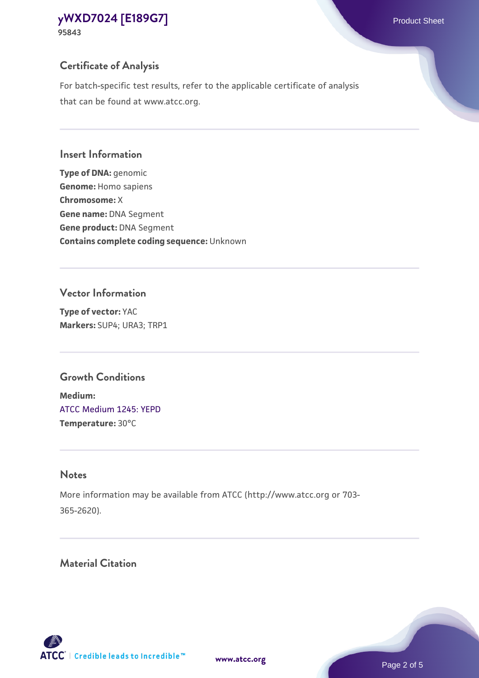# **Certificate of Analysis**

For batch-specific test results, refer to the applicable certificate of analysis that can be found at www.atcc.org.

## **Insert Information**

**Type of DNA:** genomic **Genome:** Homo sapiens **Chromosome:** X **Gene name:** DNA Segment **Gene product:** DNA Segment **Contains complete coding sequence:** Unknown

## **Vector Information**

**Type of vector:** YAC **Markers:** SUP4; URA3; TRP1

# **Growth Conditions**

**Medium:**  [ATCC Medium 1245: YEPD](https://www.atcc.org/-/media/product-assets/documents/microbial-media-formulations/1/2/4/5/atcc-medium-1245.pdf?rev=705ca55d1b6f490a808a965d5c072196) **Temperature:** 30°C

# **Notes**

More information may be available from ATCC (http://www.atcc.org or 703- 365-2620).

# **Material Citation**

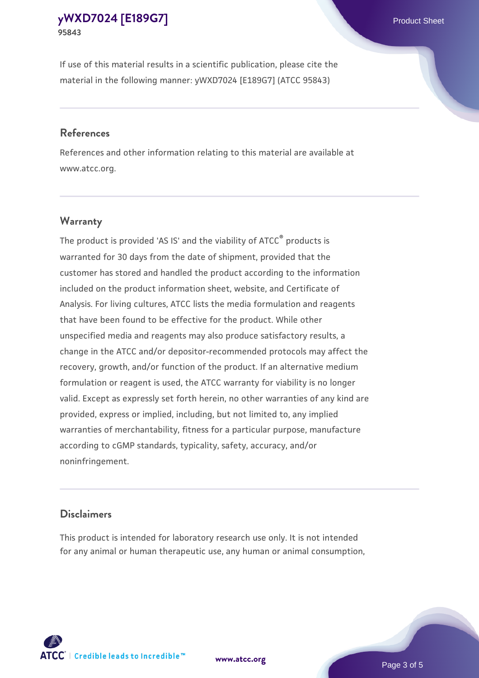If use of this material results in a scientific publication, please cite the material in the following manner: yWXD7024 [E189G7] (ATCC 95843)

#### **References**

References and other information relating to this material are available at www.atcc.org.

### **Warranty**

The product is provided 'AS IS' and the viability of  $ATCC<sup>®</sup>$  products is warranted for 30 days from the date of shipment, provided that the customer has stored and handled the product according to the information included on the product information sheet, website, and Certificate of Analysis. For living cultures, ATCC lists the media formulation and reagents that have been found to be effective for the product. While other unspecified media and reagents may also produce satisfactory results, a change in the ATCC and/or depositor-recommended protocols may affect the recovery, growth, and/or function of the product. If an alternative medium formulation or reagent is used, the ATCC warranty for viability is no longer valid. Except as expressly set forth herein, no other warranties of any kind are provided, express or implied, including, but not limited to, any implied warranties of merchantability, fitness for a particular purpose, manufacture according to cGMP standards, typicality, safety, accuracy, and/or noninfringement.

#### **Disclaimers**

This product is intended for laboratory research use only. It is not intended for any animal or human therapeutic use, any human or animal consumption,





Page 3 of 5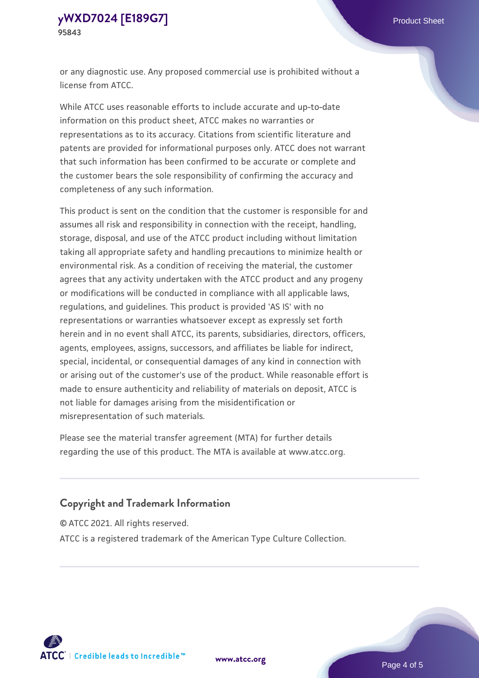or any diagnostic use. Any proposed commercial use is prohibited without a license from ATCC.

While ATCC uses reasonable efforts to include accurate and up-to-date information on this product sheet, ATCC makes no warranties or representations as to its accuracy. Citations from scientific literature and patents are provided for informational purposes only. ATCC does not warrant that such information has been confirmed to be accurate or complete and the customer bears the sole responsibility of confirming the accuracy and completeness of any such information.

This product is sent on the condition that the customer is responsible for and assumes all risk and responsibility in connection with the receipt, handling, storage, disposal, and use of the ATCC product including without limitation taking all appropriate safety and handling precautions to minimize health or environmental risk. As a condition of receiving the material, the customer agrees that any activity undertaken with the ATCC product and any progeny or modifications will be conducted in compliance with all applicable laws, regulations, and guidelines. This product is provided 'AS IS' with no representations or warranties whatsoever except as expressly set forth herein and in no event shall ATCC, its parents, subsidiaries, directors, officers, agents, employees, assigns, successors, and affiliates be liable for indirect, special, incidental, or consequential damages of any kind in connection with or arising out of the customer's use of the product. While reasonable effort is made to ensure authenticity and reliability of materials on deposit, ATCC is not liable for damages arising from the misidentification or misrepresentation of such materials.

Please see the material transfer agreement (MTA) for further details regarding the use of this product. The MTA is available at www.atcc.org.

### **Copyright and Trademark Information**

© ATCC 2021. All rights reserved.

ATCC is a registered trademark of the American Type Culture Collection.



**[www.atcc.org](http://www.atcc.org)**

Page 4 of 5